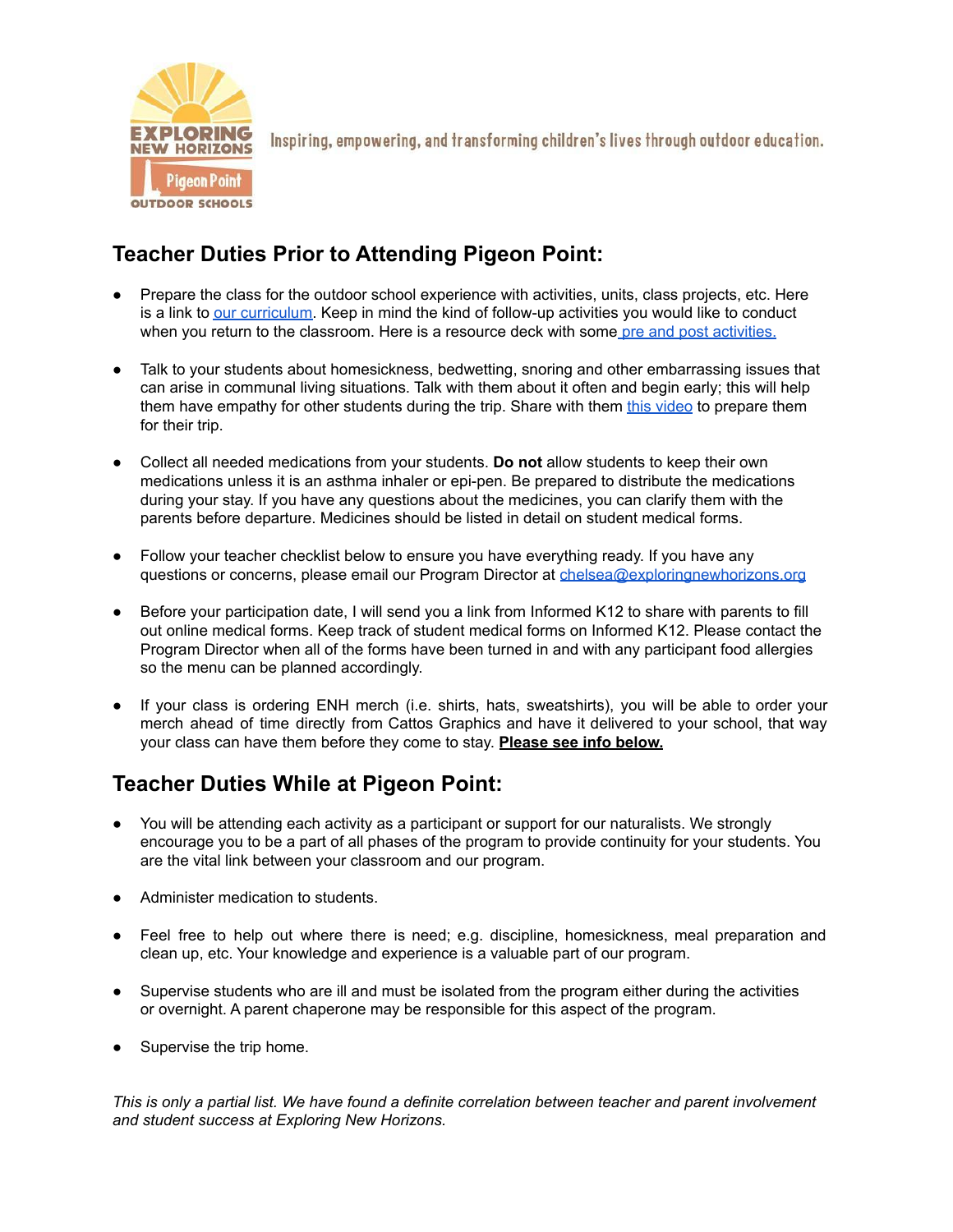

### **Teacher Duties Prior to Attending Pigeon Point:**

- Prepare the class for the outdoor school experience with activities, units, class projects, etc. Here is a link to our [curriculum.](https://www.exploringnewhorizons.org/pigeon-point/teachers/enh-curriculum-2021-docx/) Keep in mind the kind of follow-up activities you would like to conduct when you return to the classroom. Here is a resource deck with some pre and post [activities.](https://www.exploringnewhorizons.org/sempervirens/teachers/pre-and-post-teacher-resources-slide-deck/)
- Talk to your students about homesickness, bedwetting, snoring and other embarrassing issues that can arise in communal living situations. Talk with them about it often and begin early; this will help them have empathy for other students during the trip. Share with them this [video](https://youtu.be/MeT7h6rF_m4) to prepare them for their trip.
- Collect all needed medications from your students. **Do not** allow students to keep their own medications unless it is an asthma inhaler or epi-pen. Be prepared to distribute the medications during your stay. If you have any questions about the medicines, you can clarify them with the parents before departure. Medicines should be listed in detail on student medical forms.
- Follow your teacher checklist below to ensure you have everything ready. If you have any questions or concerns, please email our Program Director at [chelsea@exploringnewhorizons.org](mailto:chelsea@exploringnewhorizons.org)
- Before your participation date, I will send you a link from Informed K12 to share with parents to fill out online medical forms. Keep track of student medical forms on Informed K12. Please contact the Program Director when all of the forms have been turned in and with any participant food allergies so the menu can be planned accordingly.
- If your class is ordering ENH merch (i.e. shirts, hats, sweatshirts), you will be able to order your merch ahead of time directly from Cattos Graphics and have it delivered to your school, that way your class can have them before they come to stay. **Please see info below.**

#### **Teacher Duties While at Pigeon Point:**

- You will be attending each activity as a participant or support for our naturalists. We strongly encourage you to be a part of all phases of the program to provide continuity for your students. You are the vital link between your classroom and our program.
- Administer medication to students.
- Feel free to help out where there is need; e.g. discipline, homesickness, meal preparation and clean up, etc. Your knowledge and experience is a valuable part of our program.
- Supervise students who are ill and must be isolated from the program either during the activities or overnight. A parent chaperone may be responsible for this aspect of the program.
- Supervise the trip home.

*This is only a partial list. We have found a definite correlation between teacher and parent involvement and student success at Exploring New Horizons.*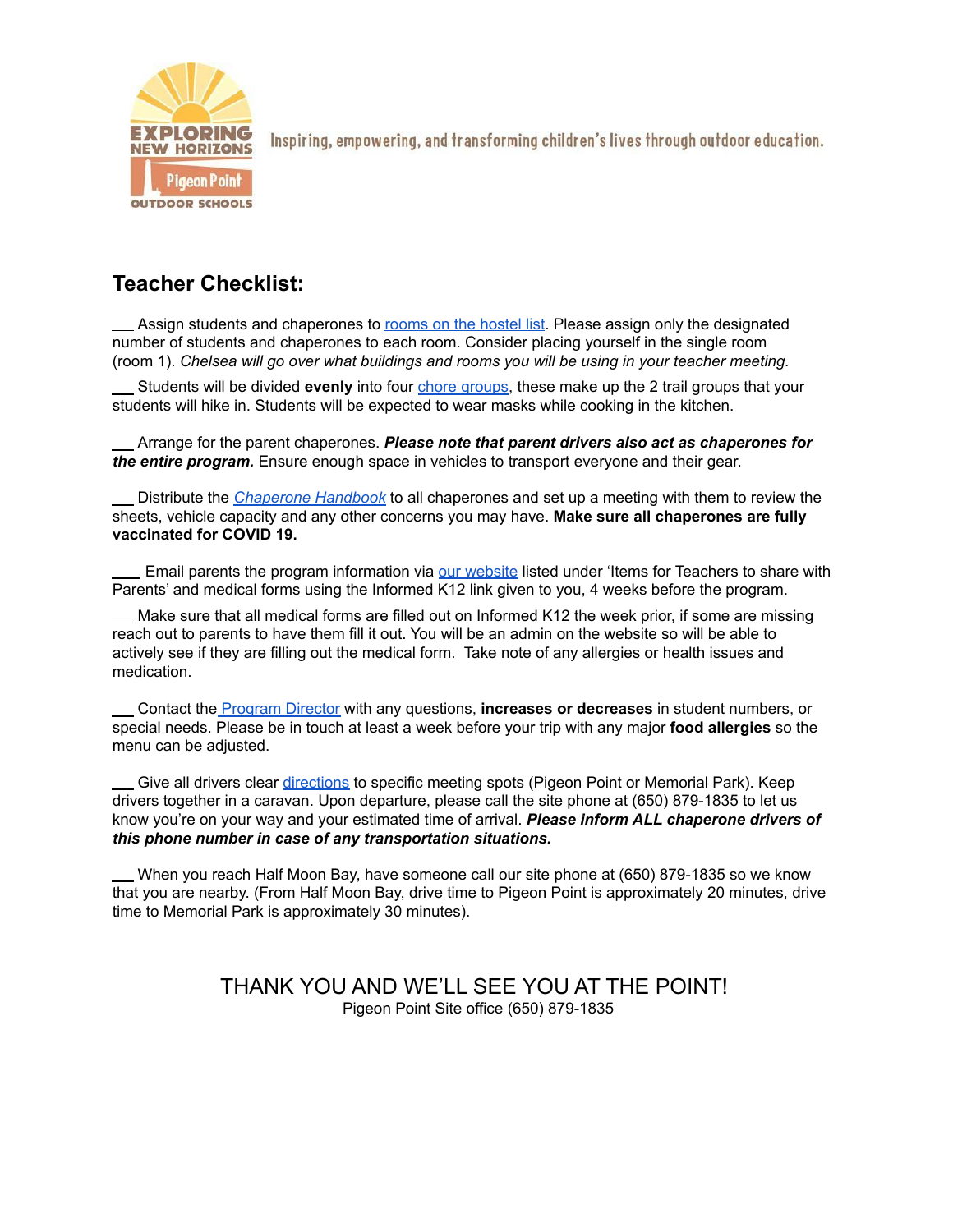

#### **Teacher Checklist:**

Assign students and chaperones to [rooms](https://www.exploringnewhorizons.org/wp-content/uploads/Bed-list-PPLH.pdf) on the hostel list. Please assign only the designated number of students and chaperones to each room. Consider placing yourself in the single room (room 1). *Chelsea will go over what buildings and rooms you will be using in your teacher meeting.*

Students will be divided **evenly** into four chore [groups,](https://www.exploringnewhorizons.org/wp-content/uploads/Trail-Groups-and-Chore-Groups-1.pdf) these make up the 2 trail groups that your students will hike in. Students will be expected to wear masks while cooking in the kitchen.

Arrange for the parent chaperones. *Please note that parent drivers also act as chaperones for the entire program.* Ensure enough space in vehicles to transport everyone and their gear.

Distribute the *[Chaperone](https://www.exploringnewhorizons.org/wp-content/uploads/Chaperone-Brochure-1-1.pdf) Handbook* to all chaperones and set up a meeting with them to review the sheets, vehicle capacity and any other concerns you may have. **Make sure all chaperones are fully vaccinated for COVID 19.**

Email parents the program information via our [website](https://www.exploringnewhorizons.org/pigeon-point/teachers/) listed under 'Items for Teachers to share with Parents' and medical forms using the Informed K12 link given to you, 4 weeks before the program.

Make sure that all medical forms are filled out on Informed K12 the week prior, if some are missing reach out to parents to have them fill it out. You will be an admin on the website so will be able to actively see if they are filling out the medical form. Take note of any allergies or health issues and medication.

Contact the [Program](mailto:chelsea@exploringnewhorizons.org) Director with any questions, **increases or decreases** in student numbers, or special needs. Please be in touch at least a week before your trip with any major **food allergies** so the menu can be adjusted.

Give all drivers clear [directions](https://www.exploringnewhorizons.org/wp-content/uploads/Directions-to-Pigeon-Point-and-Memorial-Park.pdf) to specific meeting spots (Pigeon Point or Memorial Park). Keep drivers together in a caravan. Upon departure, please call the site phone at (650) 879-1835 to let us know you're on your way and your estimated time of arrival. *Please inform ALL chaperone drivers of this phone number in case of any transportation situations.*

When you reach Half Moon Bay, have someone call our site phone at (650) 879-1835 so we know that you are nearby. (From Half Moon Bay, drive time to Pigeon Point is approximately 20 minutes, drive time to Memorial Park is approximately 30 minutes).

> THANK YOU AND WE'LL SEE YOU AT THE POINT! Pigeon Point Site office (650) 879-1835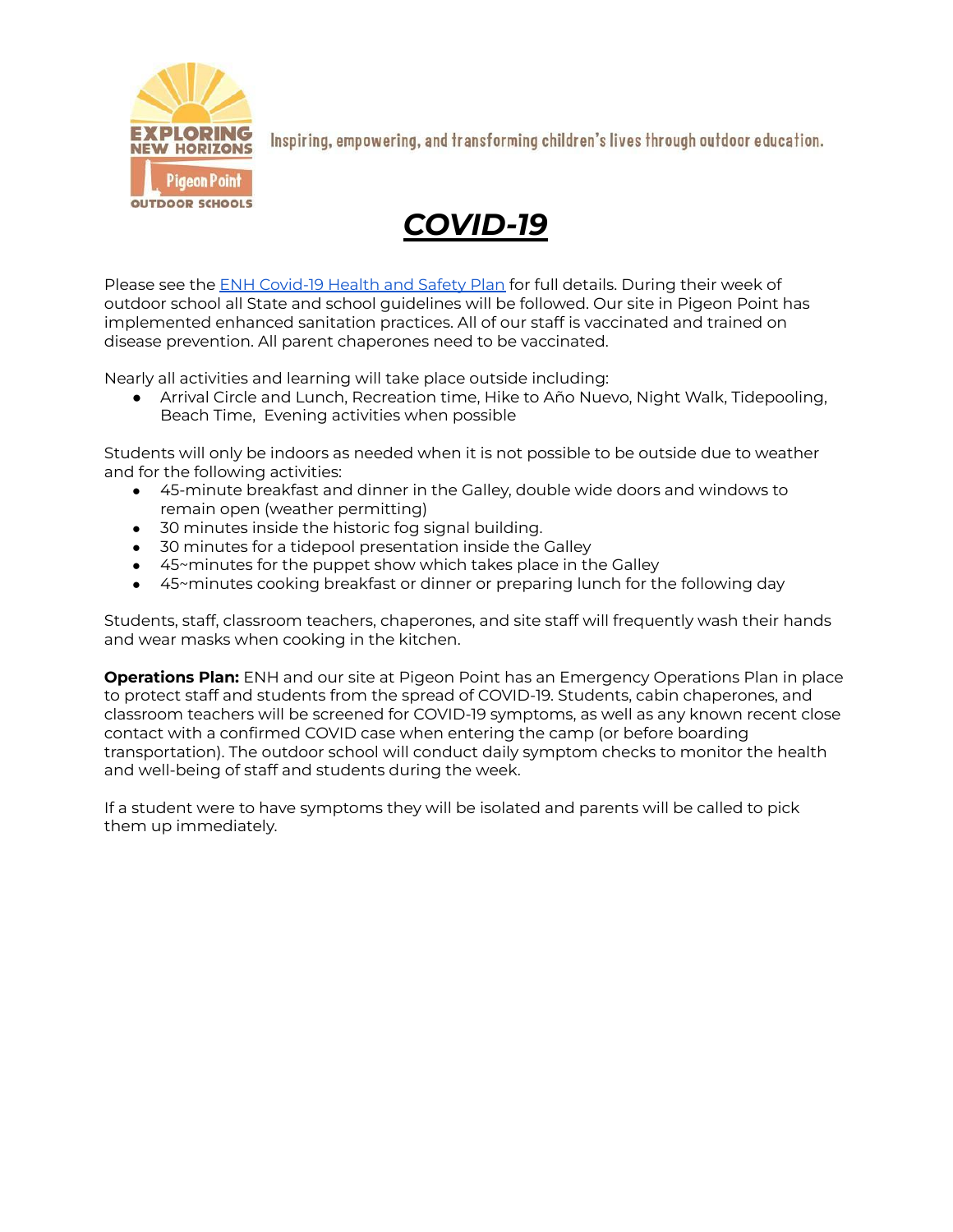

## *COVID-19*

Please see the ENH [Covid-19](https://www.exploringnewhorizons.org/pigeon-point/teachers/exploring-new-horizons-covid-19-health-safety-plan-pp-updated-3-8-22-2/) Health and Safety Plan for full details. During their week of outdoor school all State and school guidelines will be followed. Our site in Pigeon Point has implemented enhanced sanitation practices. All of our staff is vaccinated and trained on disease prevention. All parent chaperones need to be vaccinated.

Nearly all activities and learning will take place outside including:

● Arrival Circle and Lunch, Recreation time, Hike to Año Nuevo, Night Walk, Tidepooling, Beach Time, Evening activities when possible

Students will only be indoors as needed when it is not possible to be outside due to weather and for the following activities:

- 45-minute breakfast and dinner in the Galley, double wide doors and windows to remain open (weather permitting)
- 30 minutes inside the historic fog signal building.
- 30 minutes for a tidepool presentation inside the Galley
- 45~minutes for the puppet show which takes place in the Galley
- 45~minutes cooking breakfast or dinner or preparing lunch for the following day

Students, staff, classroom teachers, chaperones, and site staff will frequently wash their hands and wear masks when cooking in the kitchen.

**Operations Plan:** ENH and our site at Pigeon Point has an Emergency Operations Plan in place to protect staff and students from the spread of COVID-19. Students, cabin chaperones, and classroom teachers will be screened for COVID-19 symptoms, as well as any known recent close contact with a confirmed COVID case when entering the camp (or before boarding transportation). The outdoor school will conduct daily symptom checks to monitor the health and well-being of staff and students during the week.

If a student were to have symptoms they will be isolated and parents will be called to pick them up immediately.